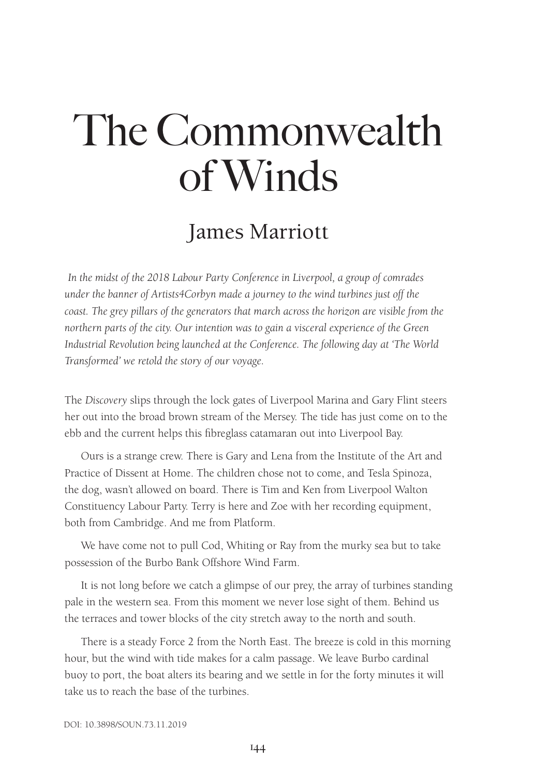# The Commonwealth of Winds

## James Marriott

*In the midst of the 2018 Labour Party Conference in Liverpool, a group of comrades under the banner of Artists4Corbyn made a journey to the wind turbines just off the coast. The grey pillars of the generators that march across the horizon are visible from the northern parts of the city. Our intention was to gain a visceral experience of the Green Industrial Revolution being launched at the Conference. The following day at 'The World Transformed' we retold the story of our voyage.*

The *Discovery* slips through the lock gates of Liverpool Marina and Gary Flint steers her out into the broad brown stream of the Mersey. The tide has just come on to the ebb and the current helps this fibreglass catamaran out into Liverpool Bay.

Ours is a strange crew. There is Gary and Lena from the Institute of the Art and Practice of Dissent at Home. The children chose not to come, and Tesla Spinoza, the dog, wasn't allowed on board. There is Tim and Ken from Liverpool Walton Constituency Labour Party. Terry is here and Zoe with her recording equipment, both from Cambridge. And me from Platform.

We have come not to pull Cod, Whiting or Ray from the murky sea but to take possession of the Burbo Bank Offshore Wind Farm.

It is not long before we catch a glimpse of our prey, the array of turbines standing pale in the western sea. From this moment we never lose sight of them. Behind us the terraces and tower blocks of the city stretch away to the north and south.

There is a steady Force 2 from the North East. The breeze is cold in this morning hour, but the wind with tide makes for a calm passage. We leave Burbo cardinal buoy to port, the boat alters its bearing and we settle in for the forty minutes it will take us to reach the base of the turbines.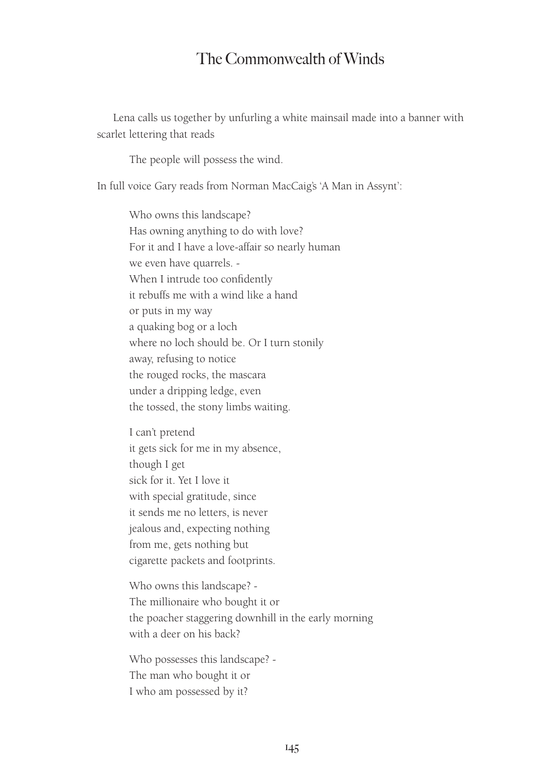#### The Commonwealth of Winds

Lena calls us together by unfurling a white mainsail made into a banner with scarlet lettering that reads

The people will possess the wind.

In full voice Gary reads from Norman MacCaig's 'A Man in Assynt':

Who owns this landscape? Has owning anything to do with love? For it and I have a love-affair so nearly human we even have quarrels. - When I intrude too confidently it rebuffs me with a wind like a hand or puts in my way a quaking bog or a loch where no loch should be. Or I turn stonily away, refusing to notice the rouged rocks, the mascara under a dripping ledge, even the tossed, the stony limbs waiting.

I can't pretend it gets sick for me in my absence, though I get sick for it. Yet I love it with special gratitude, since it sends me no letters, is never jealous and, expecting nothing from me, gets nothing but cigarette packets and footprints.

Who owns this landscape? - The millionaire who bought it or the poacher staggering downhill in the early morning with a deer on his back?

Who possesses this landscape? - The man who bought it or I who am possessed by it?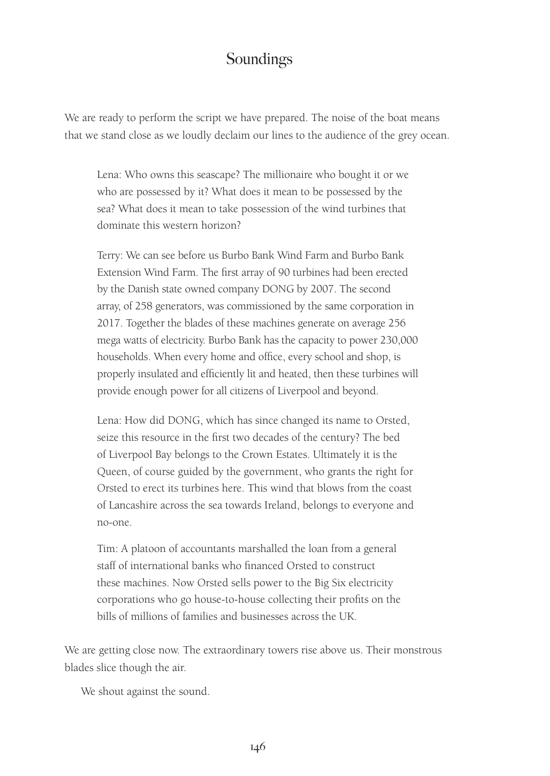#### Soundings

We are ready to perform the script we have prepared. The noise of the boat means that we stand close as we loudly declaim our lines to the audience of the grey ocean.

Lena: Who owns this seascape? The millionaire who bought it or we who are possessed by it? What does it mean to be possessed by the sea? What does it mean to take possession of the wind turbines that dominate this western horizon?

Terry: We can see before us Burbo Bank Wind Farm and Burbo Bank Extension Wind Farm. The first array of 90 turbines had been erected by the Danish state owned company DONG by 2007. The second array, of 258 generators, was commissioned by the same corporation in 2017. Together the blades of these machines generate on average 256 mega watts of electricity. Burbo Bank has the capacity to power 230,000 households. When every home and office, every school and shop, is properly insulated and efficiently lit and heated, then these turbines will provide enough power for all citizens of Liverpool and beyond.

Lena: How did DONG, which has since changed its name to Orsted, seize this resource in the first two decades of the century? The bed of Liverpool Bay belongs to the Crown Estates. Ultimately it is the Queen, of course guided by the government, who grants the right for Orsted to erect its turbines here. This wind that blows from the coast of Lancashire across the sea towards Ireland, belongs to everyone and no-one.

Tim: A platoon of accountants marshalled the loan from a general staff of international banks who financed Orsted to construct these machines. Now Orsted sells power to the Big Six electricity corporations who go house-to-house collecting their profits on the bills of millions of families and businesses across the UK.

We are getting close now. The extraordinary towers rise above us. Their monstrous blades slice though the air.

We shout against the sound.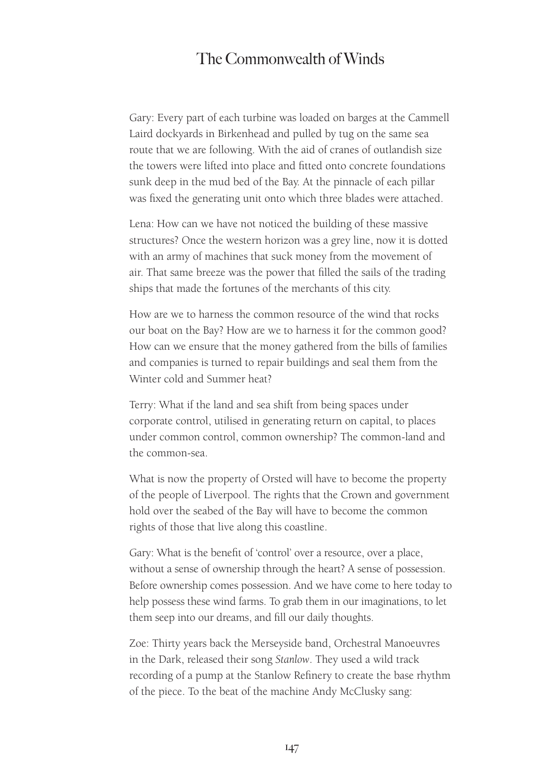#### The Commonwealth of Winds

Gary: Every part of each turbine was loaded on barges at the Cammell Laird dockyards in Birkenhead and pulled by tug on the same sea route that we are following. With the aid of cranes of outlandish size the towers were lifted into place and fitted onto concrete foundations sunk deep in the mud bed of the Bay. At the pinnacle of each pillar was fixed the generating unit onto which three blades were attached.

Lena: How can we have not noticed the building of these massive structures? Once the western horizon was a grey line, now it is dotted with an army of machines that suck money from the movement of air. That same breeze was the power that filled the sails of the trading ships that made the fortunes of the merchants of this city.

How are we to harness the common resource of the wind that rocks our boat on the Bay? How are we to harness it for the common good? How can we ensure that the money gathered from the bills of families and companies is turned to repair buildings and seal them from the Winter cold and Summer heat?

Terry: What if the land and sea shift from being spaces under corporate control, utilised in generating return on capital, to places under common control, common ownership? The common-land and the common-sea.

What is now the property of Orsted will have to become the property of the people of Liverpool. The rights that the Crown and government hold over the seabed of the Bay will have to become the common rights of those that live along this coastline.

Gary: What is the benefit of 'control' over a resource, over a place, without a sense of ownership through the heart? A sense of possession. Before ownership comes possession. And we have come to here today to help possess these wind farms. To grab them in our imaginations, to let them seep into our dreams, and fill our daily thoughts.

Zoe: Thirty years back the Merseyside band, Orchestral Manoeuvres in the Dark, released their song *Stanlow*. They used a wild track recording of a pump at the Stanlow Refinery to create the base rhythm of the piece. To the beat of the machine Andy McClusky sang: